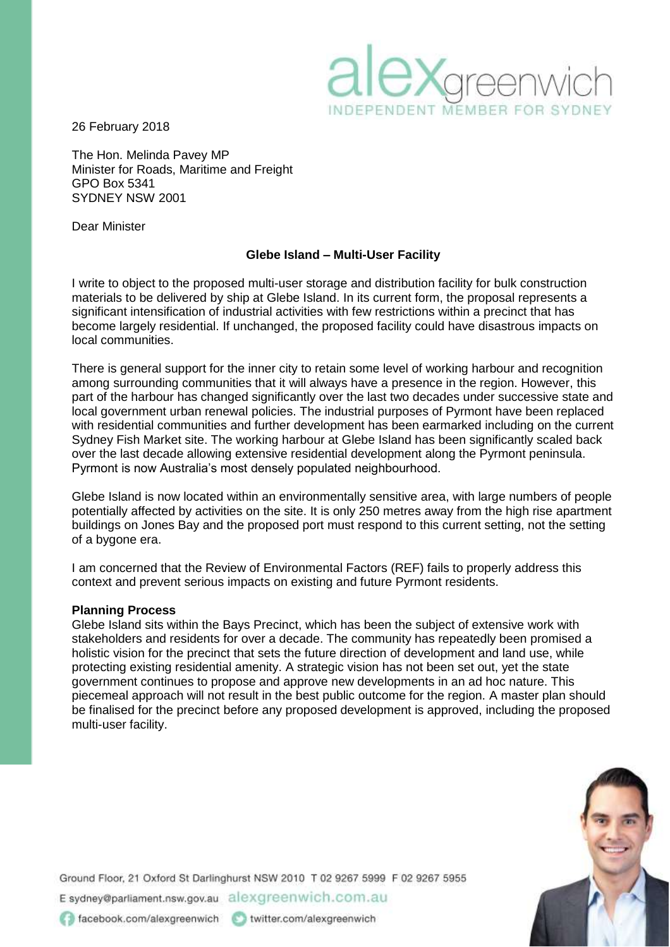

26 February 2018

The Hon. Melinda Pavey MP Minister for Roads, Maritime and Freight GPO Box 5341 SYDNEY NSW 2001

Dear Minister

### **Glebe Island – Multi-User Facility**

I write to object to the proposed multi-user storage and distribution facility for bulk construction materials to be delivered by ship at Glebe Island. In its current form, the proposal represents a significant intensification of industrial activities with few restrictions within a precinct that has become largely residential. If unchanged, the proposed facility could have disastrous impacts on local communities.

There is general support for the inner city to retain some level of working harbour and recognition among surrounding communities that it will always have a presence in the region. However, this part of the harbour has changed significantly over the last two decades under successive state and local government urban renewal policies. The industrial purposes of Pyrmont have been replaced with residential communities and further development has been earmarked including on the current Sydney Fish Market site. The working harbour at Glebe Island has been significantly scaled back over the last decade allowing extensive residential development along the Pyrmont peninsula. Pyrmont is now Australia's most densely populated neighbourhood.

Glebe Island is now located within an environmentally sensitive area, with large numbers of people potentially affected by activities on the site. It is only 250 metres away from the high rise apartment buildings on Jones Bay and the proposed port must respond to this current setting, not the setting of a bygone era.

I am concerned that the Review of Environmental Factors (REF) fails to properly address this context and prevent serious impacts on existing and future Pyrmont residents.

#### **Planning Process**

Glebe Island sits within the Bays Precinct, which has been the subject of extensive work with stakeholders and residents for over a decade. The community has repeatedly been promised a holistic vision for the precinct that sets the future direction of development and land use, while protecting existing residential amenity. A strategic vision has not been set out, yet the state government continues to propose and approve new developments in an ad hoc nature. This piecemeal approach will not result in the best public outcome for the region. A master plan should be finalised for the precinct before any proposed development is approved, including the proposed multi-user facility.



Ground Floor, 21 Oxford St Darlinghurst NSW 2010 T 02 9267 5999 F 02 9267 5955 E sydney@parliament.nsw.gov.au alexgreenwich.com.au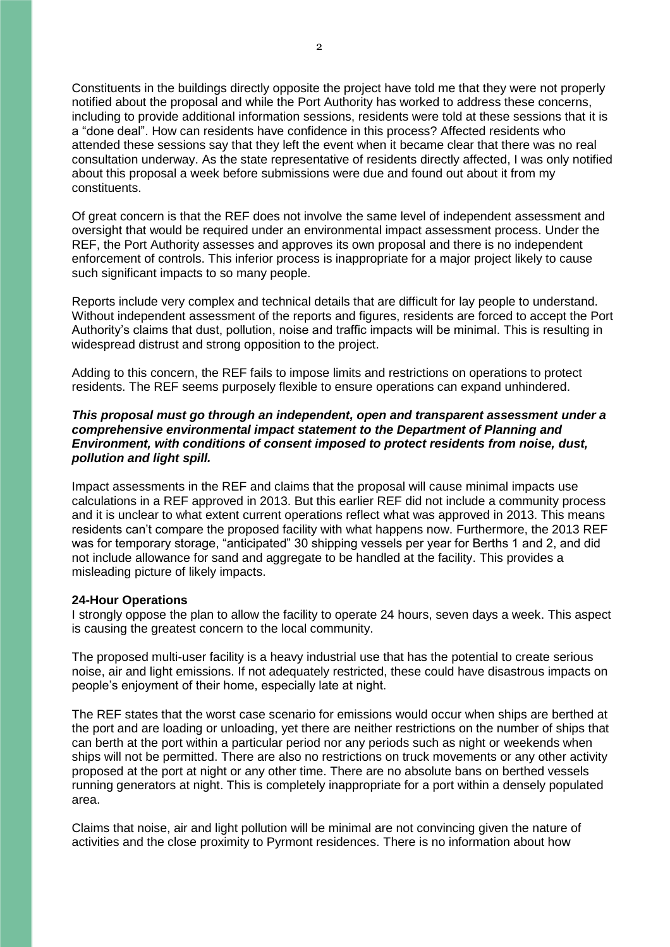Constituents in the buildings directly opposite the project have told me that they were not properly notified about the proposal and while the Port Authority has worked to address these concerns, including to provide additional information sessions, residents were told at these sessions that it is a "done deal". How can residents have confidence in this process? Affected residents who attended these sessions say that they left the event when it became clear that there was no real consultation underway. As the state representative of residents directly affected, I was only notified about this proposal a week before submissions were due and found out about it from my constituents.

Of great concern is that the REF does not involve the same level of independent assessment and oversight that would be required under an environmental impact assessment process. Under the REF, the Port Authority assesses and approves its own proposal and there is no independent enforcement of controls. This inferior process is inappropriate for a major project likely to cause such significant impacts to so many people.

Reports include very complex and technical details that are difficult for lay people to understand. Without independent assessment of the reports and figures, residents are forced to accept the Port Authority's claims that dust, pollution, noise and traffic impacts will be minimal. This is resulting in widespread distrust and strong opposition to the project.

Adding to this concern, the REF fails to impose limits and restrictions on operations to protect residents. The REF seems purposely flexible to ensure operations can expand unhindered.

#### *This proposal must go through an independent, open and transparent assessment under a comprehensive environmental impact statement to the Department of Planning and Environment, with conditions of consent imposed to protect residents from noise, dust, pollution and light spill.*

Impact assessments in the REF and claims that the proposal will cause minimal impacts use calculations in a REF approved in 2013. But this earlier REF did not include a community process and it is unclear to what extent current operations reflect what was approved in 2013. This means residents can't compare the proposed facility with what happens now. Furthermore, the 2013 REF was for temporary storage, "anticipated" 30 shipping vessels per year for Berths 1 and 2, and did not include allowance for sand and aggregate to be handled at the facility. This provides a misleading picture of likely impacts.

#### **24-Hour Operations**

I strongly oppose the plan to allow the facility to operate 24 hours, seven days a week. This aspect is causing the greatest concern to the local community.

The proposed multi-user facility is a heavy industrial use that has the potential to create serious noise, air and light emissions. If not adequately restricted, these could have disastrous impacts on people's enjoyment of their home, especially late at night.

The REF states that the worst case scenario for emissions would occur when ships are berthed at the port and are loading or unloading, yet there are neither restrictions on the number of ships that can berth at the port within a particular period nor any periods such as night or weekends when ships will not be permitted. There are also no restrictions on truck movements or any other activity proposed at the port at night or any other time. There are no absolute bans on berthed vessels running generators at night. This is completely inappropriate for a port within a densely populated area.

Claims that noise, air and light pollution will be minimal are not convincing given the nature of activities and the close proximity to Pyrmont residences. There is no information about how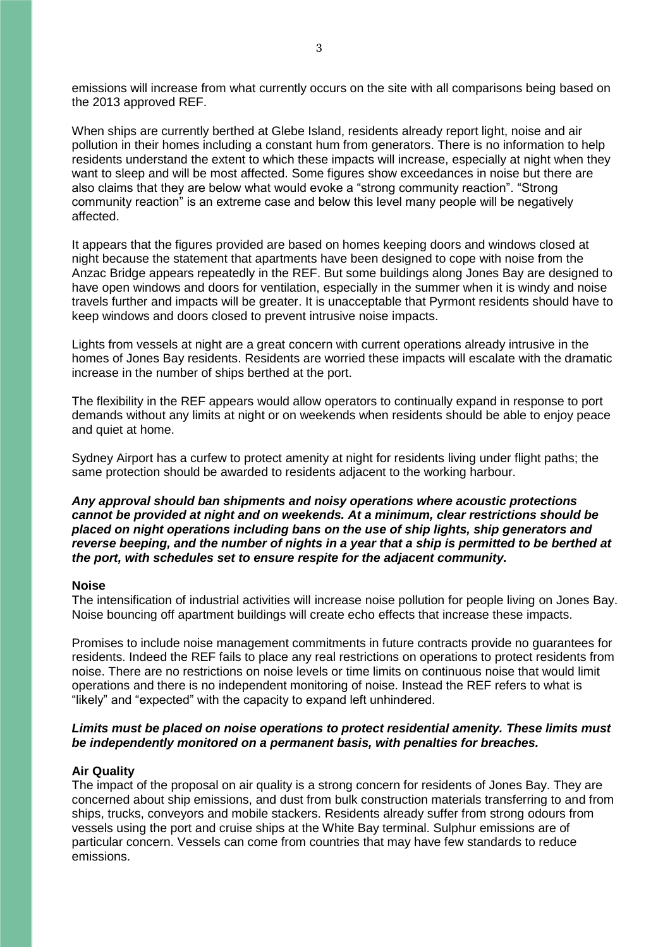emissions will increase from what currently occurs on the site with all comparisons being based on the 2013 approved REF.

When ships are currently berthed at Glebe Island, residents already report light, noise and air pollution in their homes including a constant hum from generators. There is no information to help residents understand the extent to which these impacts will increase, especially at night when they want to sleep and will be most affected. Some figures show exceedances in noise but there are also claims that they are below what would evoke a "strong community reaction". "Strong community reaction" is an extreme case and below this level many people will be negatively affected.

It appears that the figures provided are based on homes keeping doors and windows closed at night because the statement that apartments have been designed to cope with noise from the Anzac Bridge appears repeatedly in the REF. But some buildings along Jones Bay are designed to have open windows and doors for ventilation, especially in the summer when it is windy and noise travels further and impacts will be greater. It is unacceptable that Pyrmont residents should have to keep windows and doors closed to prevent intrusive noise impacts.

Lights from vessels at night are a great concern with current operations already intrusive in the homes of Jones Bay residents. Residents are worried these impacts will escalate with the dramatic increase in the number of ships berthed at the port.

The flexibility in the REF appears would allow operators to continually expand in response to port demands without any limits at night or on weekends when residents should be able to enjoy peace and quiet at home.

Sydney Airport has a curfew to protect amenity at night for residents living under flight paths; the same protection should be awarded to residents adjacent to the working harbour.

*Any approval should ban shipments and noisy operations where acoustic protections cannot be provided at night and on weekends. At a minimum, clear restrictions should be placed on night operations including bans on the use of ship lights, ship generators and reverse beeping, and the number of nights in a year that a ship is permitted to be berthed at the port, with schedules set to ensure respite for the adjacent community.*

#### **Noise**

The intensification of industrial activities will increase noise pollution for people living on Jones Bay. Noise bouncing off apartment buildings will create echo effects that increase these impacts.

Promises to include noise management commitments in future contracts provide no guarantees for residents. Indeed the REF fails to place any real restrictions on operations to protect residents from noise. There are no restrictions on noise levels or time limits on continuous noise that would limit operations and there is no independent monitoring of noise. Instead the REF refers to what is "likely" and "expected" with the capacity to expand left unhindered.

### *Limits must be placed on noise operations to protect residential amenity. These limits must be independently monitored on a permanent basis, with penalties for breaches.*

#### **Air Quality**

The impact of the proposal on air quality is a strong concern for residents of Jones Bay. They are concerned about ship emissions, and dust from bulk construction materials transferring to and from ships, trucks, conveyors and mobile stackers. Residents already suffer from strong odours from vessels using the port and cruise ships at the White Bay terminal. Sulphur emissions are of particular concern. Vessels can come from countries that may have few standards to reduce emissions.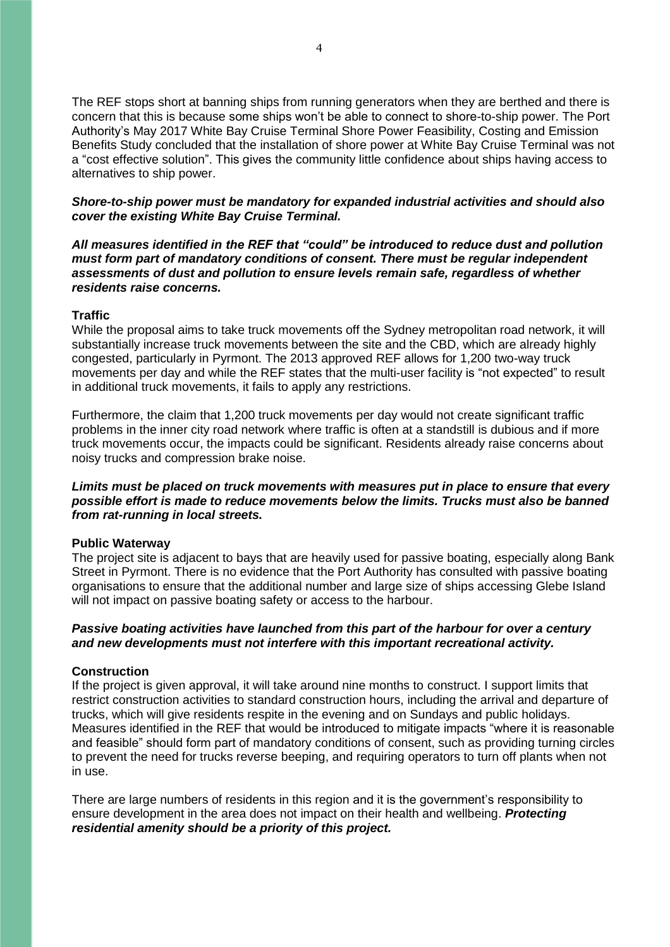The REF stops short at banning ships from running generators when they are berthed and there is concern that this is because some ships won't be able to connect to shore-to-ship power. The Port Authority's May 2017 White Bay Cruise Terminal Shore Power Feasibility, Costing and Emission Benefits Study concluded that the installation of shore power at White Bay Cruise Terminal was not a "cost effective solution". This gives the community little confidence about ships having access to alternatives to ship power.

### *Shore-to-ship power must be mandatory for expanded industrial activities and should also cover the existing White Bay Cruise Terminal.*

*All measures identified in the REF that "could" be introduced to reduce dust and pollution must form part of mandatory conditions of consent. There must be regular independent assessments of dust and pollution to ensure levels remain safe, regardless of whether residents raise concerns.*

### **Traffic**

While the proposal aims to take truck movements off the Sydney metropolitan road network, it will substantially increase truck movements between the site and the CBD, which are already highly congested, particularly in Pyrmont. The 2013 approved REF allows for 1,200 two-way truck movements per day and while the REF states that the multi-user facility is "not expected" to result in additional truck movements, it fails to apply any restrictions.

Furthermore, the claim that 1,200 truck movements per day would not create significant traffic problems in the inner city road network where traffic is often at a standstill is dubious and if more truck movements occur, the impacts could be significant. Residents already raise concerns about noisy trucks and compression brake noise.

## *Limits must be placed on truck movements with measures put in place to ensure that every possible effort is made to reduce movements below the limits. Trucks must also be banned from rat-running in local streets.*

#### **Public Waterway**

The project site is adjacent to bays that are heavily used for passive boating, especially along Bank Street in Pyrmont. There is no evidence that the Port Authority has consulted with passive boating organisations to ensure that the additional number and large size of ships accessing Glebe Island will not impact on passive boating safety or access to the harbour.

### *Passive boating activities have launched from this part of the harbour for over a century and new developments must not interfere with this important recreational activity.*

# **Construction**

If the project is given approval, it will take around nine months to construct. I support limits that restrict construction activities to standard construction hours, including the arrival and departure of trucks, which will give residents respite in the evening and on Sundays and public holidays. Measures identified in the REF that would be introduced to mitigate impacts "where it is reasonable and feasible" should form part of mandatory conditions of consent, such as providing turning circles to prevent the need for trucks reverse beeping, and requiring operators to turn off plants when not in use.

There are large numbers of residents in this region and it is the government's responsibility to ensure development in the area does not impact on their health and wellbeing. *Protecting residential amenity should be a priority of this project.*